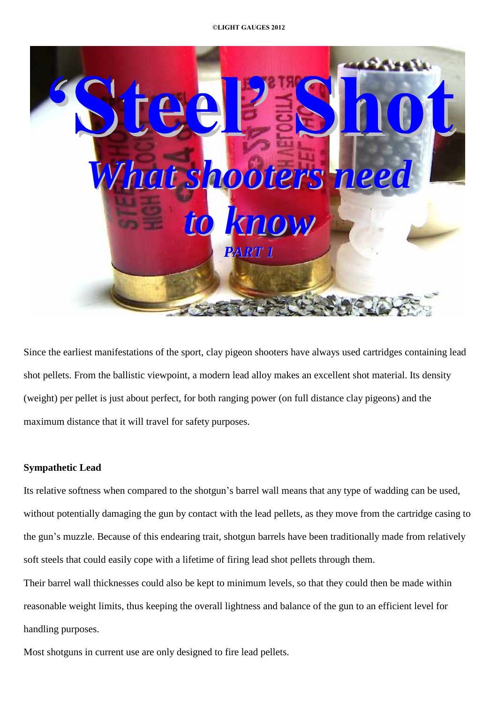

Since the earliest manifestations of the sport, clay pigeon shooters have always used cartridges containing lead shot pellets. From the ballistic viewpoint, a modern lead alloy makes an excellent shot material. Its density (weight) per pellet is just about perfect, for both ranging power (on full distance clay pigeons) and the maximum distance that it will travel for safety purposes.

### **Sympathetic Lead**

Its relative softness when compared to the shotgun's barrel wall means that any type of wadding can be used, without potentially damaging the gun by contact with the lead pellets, as they move from the cartridge casing to the gun's muzzle. Because of this endearing trait, shotgun barrels have been traditionally made from relatively soft steels that could easily cope with a lifetime of firing lead shot pellets through them.

Their barrel wall thicknesses could also be kept to minimum levels, so that they could then be made within reasonable weight limits, thus keeping the overall lightness and balance of the gun to an efficient level for handling purposes.

Most shotguns in current use are only designed to fire lead pellets.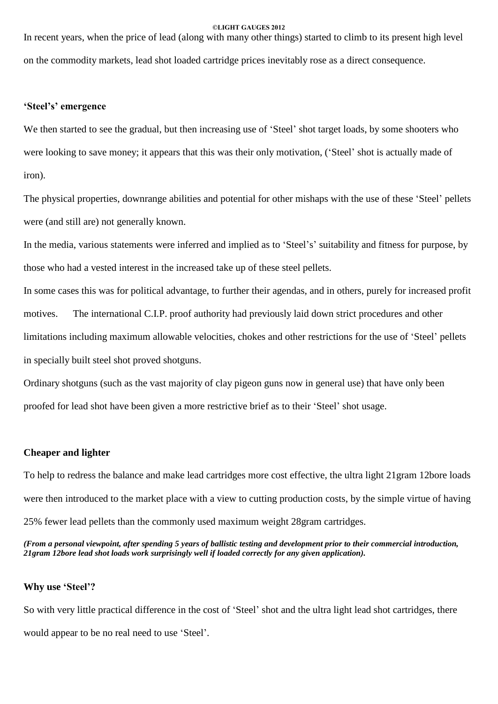In recent years, when the price of lead (along with many other things) started to climb to its present high level on the commodity markets, lead shot loaded cartridge prices inevitably rose as a direct consequence.

### **ëSteelísí emergence**

We then started to see the gradual, but then increasing use of 'Steel' shot target loads, by some shooters who were looking to save money; it appears that this was their only motivation, ('Steel' shot is actually made of iron).

The physical properties, downrange abilities and potential for other mishaps with the use of these 'Steel' pellets were (and still are) not generally known.

In the media, various statements were inferred and implied as to 'Steel's' suitability and fitness for purpose, by those who had a vested interest in the increased take up of these steel pellets.

In some cases this was for political advantage, to further their agendas, and in others, purely for increased profit motives. The international C.I.P. proof authority had previously laid down strict procedures and other limitations including maximum allowable velocities, chokes and other restrictions for the use of 'Steel' pellets in specially built steel shot proved shotguns.

Ordinary shotguns (such as the vast majority of clay pigeon guns now in general use) that have only been proofed for lead shot have been given a more restrictive brief as to their 'Steel' shot usage.

#### **Cheaper and lighter**

To help to redress the balance and make lead cartridges more cost effective, the ultra light 21gram 12bore loads were then introduced to the market place with a view to cutting production costs, by the simple virtue of having 25% fewer lead pellets than the commonly used maximum weight 28gram cartridges.

(From a personal viewpoint, after spending 5 years of ballistic testing and development prior to their commercial introduction, *21gram 12bore lead shot loads work surprisingly well if loaded correctly for any given application).*

#### **Why** use 'Steel'?

So with very little practical difference in the cost of 'Steel' shot and the ultra light lead shot cartridges, there would appear to be no real need to use 'Steel'.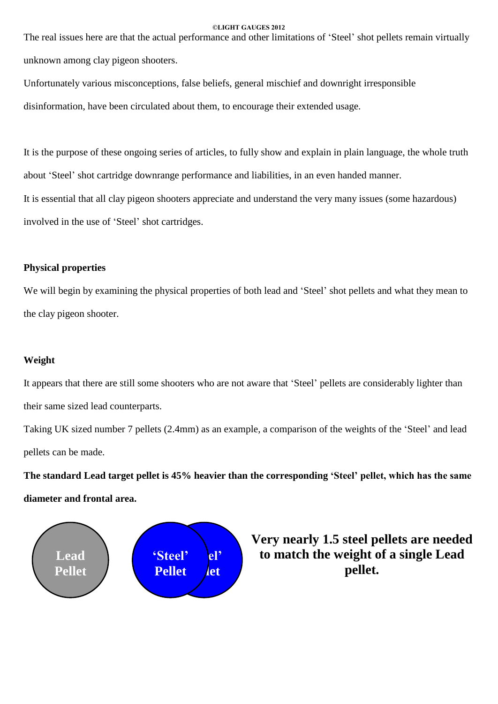The real issues here are that the actual performance and other limitations of 'Steel' shot pellets remain virtually unknown among clay pigeon shooters.

Unfortunately various misconceptions, false beliefs, general mischief and downright irresponsible

disinformation, have been circulated about them, to encourage their extended usage.

It is the purpose of these ongoing series of articles, to fully show and explain in plain language, the whole truth about 'Steel' shot cartridge downrange performance and liabilities, in an even handed manner. It is essential that all clay pigeon shooters appreciate and understand the very many issues (some hazardous) involved in the use of 'Steel' shot cartridges.

## **Physical properties**

We will begin by examining the physical properties of both lead and 'Steel' shot pellets and what they mean to the clay pigeon shooter.

## **Weight**

It appears that there are still some shooters who are not aware that 'Steel' pellets are considerably lighter than their same sized lead counterparts.

Taking UK sized number 7 pellets (2.4mm) as an example, a comparison of the weights of the 'Steel' and lead pellets can be made.

**The standard Lead target pellet is 45% heavier than the corresponding ëSteelí pellet, which has the same diameter and frontal area.**



**Very nearly 1.5 steel pellets are needed to** match the weight of a single Lead pellet.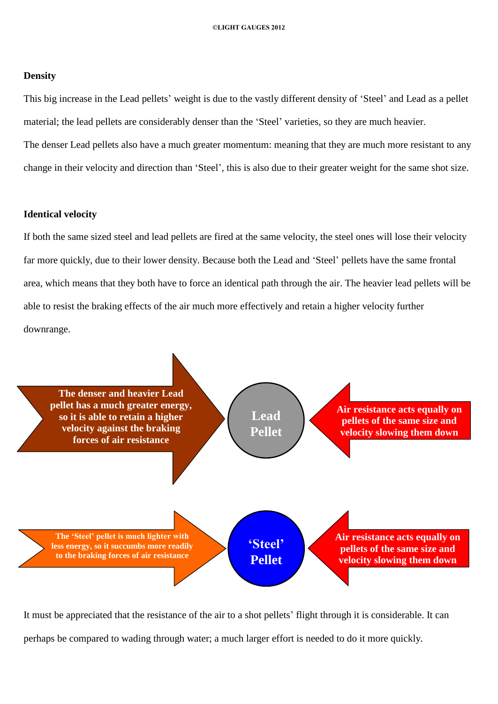#### **Density**

This big increase in the Lead pellets' weight is due to the vastly different density of 'Steel' and Lead as a pellet material; the lead pellets are considerably denser than the 'Steel' varieties, so they are much heavier. The denser Lead pellets also have a much greater momentum: meaning that they are much more resistant to any change in their velocity and direction than 'Steel', this is also due to their greater weight for the same shot size.

#### **Identical velocity**

If both the same sized steel and lead pellets are fired at the same velocity, the steel ones will lose their velocity far more quickly, due to their lower density. Because both the Lead and 'Steel' pellets have the same frontal area, which means that they both have to force an identical path through the air. The heavier lead pellets will be able to resist the braking effects of the air much more effectively and retain a higher velocity further downrange.



It must be appreciated that the resistance of the air to a shot pellets' flight through it is considerable. It can perhaps be compared to wading through water; a much larger effort is needed to do it more quickly.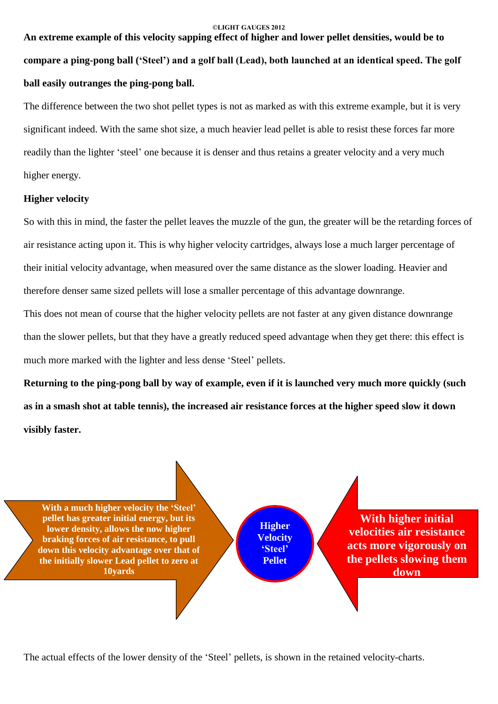# **An extreme example of this velocity sapping effect of higher and lower pellet densities, would be to** compare a ping-pong ball ('Steel') and a golf ball (Lead), both launched at an identical speed. The golf **ball easily outranges the ping-pong ball.**

The difference between the two shot pellet types is not as marked as with this extreme example, but it is very significant indeed. With the same shot size, a much heavier lead pellet is able to resist these forces far more readily than the lighter 'steel' one because it is denser and thus retains a greater velocity and a very much higher energy.

#### **Higher velocity**

So with this in mind, the faster the pellet leaves the muzzle of the gun, the greater will be the retarding forces of air resistance acting upon it. This is why higher velocity cartridges, always lose a much larger percentage of their initial velocity advantage, when measured over the same distance as the slower loading. Heavier and therefore denser same sized pellets will lose a smaller percentage of this advantage downrange.

This does not mean of course that the higher velocity pellets are not faster at any given distance downrange than the slower pellets, but that they have a greatly reduced speed advantage when they get there: this effect is much more marked with the lighter and less dense 'Steel' pellets.

Returning to the ping-pong ball by way of example, even if it is launched very much more quickly (such as in a smash shot at table tennis), the increased air resistance forces at the higher speed slow it down **visibly faster.**



The actual effects of the lower density of the 'Steel' pellets, is shown in the retained velocity-charts.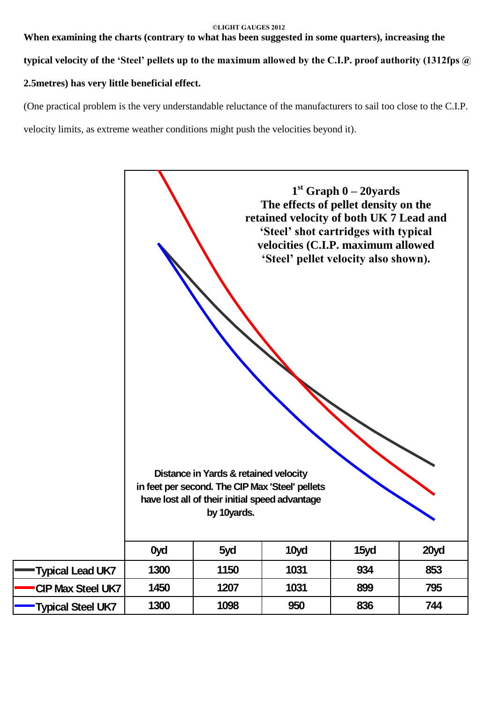**When examining the charts (contrary to what has been suggested in some quarters), increasing the**

typical velocity of the 'Steel' pellets up to the maximum allowed by the C.I.P. proof authority (1312fps @

## **2.5metres) has very little beneficial effect.**

(One practical problem is the very understandable reluctance of the manufacturers to sail too close to the C.I.P. velocity limits, as extreme weather conditions might push the velocities beyond it).

|                          | 0yd  | Distance in Yards & retained velocity<br>in feet per second. The CIP Max 'Steel' pellets<br>have lost all of their initial speed advantage<br>by 10yards.<br>5yd | The effects of pellet density on the<br>retained velocity of both UK 7 Lead and<br>'Steel' shot cartridges with typical<br>velocities (C.I.P. maximum allowed<br>'Steel' pellet velocity also shown).<br>10yd | $1st$ Graph $0-20y$ ards<br>15yd | 20yd |
|--------------------------|------|------------------------------------------------------------------------------------------------------------------------------------------------------------------|---------------------------------------------------------------------------------------------------------------------------------------------------------------------------------------------------------------|----------------------------------|------|
|                          |      |                                                                                                                                                                  |                                                                                                                                                                                                               |                                  |      |
| Typical Lead UK7         | 1300 | 1150                                                                                                                                                             | 1031                                                                                                                                                                                                          | 934                              | 853  |
| <b>CIP Max Steel UK7</b> | 1450 | 1207                                                                                                                                                             | 1031                                                                                                                                                                                                          | 899                              | 795  |
| Typical Steel UK7        | 1300 | 1098                                                                                                                                                             | 950                                                                                                                                                                                                           | 836                              | 744  |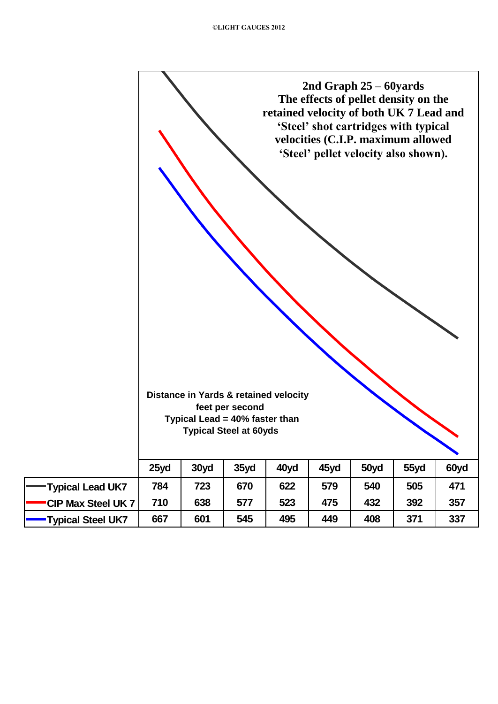|                   | 2nd Graph $25 - 60$ yards<br>The effects of pellet density on the<br>retained velocity of both UK 7 Lead and<br>'Steel' shot cartridges with typical<br>velocities (C.I.P. maximum allowed<br>'Steel' pellet velocity also shown).<br>Distance in Yards & retained velocity<br>feet per second<br>Typical Lead = 40% faster than<br><b>Typical Steel at 60yds</b> |      |      |      |      |      |      |                              |  |  |
|-------------------|-------------------------------------------------------------------------------------------------------------------------------------------------------------------------------------------------------------------------------------------------------------------------------------------------------------------------------------------------------------------|------|------|------|------|------|------|------------------------------|--|--|
|                   | 25yd                                                                                                                                                                                                                                                                                                                                                              | 30yd | 35yd | 40yd | 45yd | 50yd | 55yd | $\blacktriangledown$<br>60yd |  |  |
| Typical Lead UK7  | 784                                                                                                                                                                                                                                                                                                                                                               | 723  | 670  | 622  | 579  | 540  | 505  | 471                          |  |  |
| CIP Max Steel UK7 | 710                                                                                                                                                                                                                                                                                                                                                               | 638  | 577  | 523  | 475  | 432  | 392  | 357                          |  |  |
| Typical Steel UK7 | 667                                                                                                                                                                                                                                                                                                                                                               | 601  | 545  | 495  | 449  | 408  | 371  | 337                          |  |  |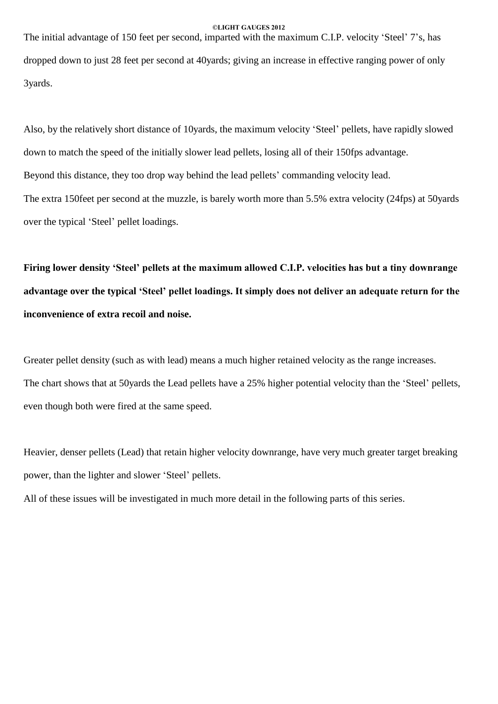The initial advantage of 150 feet per second, imparted with the maximum C.I.P. velocity 'Steel' 7's, has dropped down to just28 feet per second at 40yards; giving an increase in effective ranging power of only 3yards.

Also, by the relatively short distance of 10yards, the maximum velocity 'Steel' pellets, have rapidly slowed down to match the speed of the initially slower lead pellets, losing all of their 150fps advantage. Beyond this distance, they too drop way behind the lead pellets' commanding velocity lead. The extra 150feet per second at the muzzle, is barely worth more than 5.5% extra velocity (24fps) at 50yards over the typical 'Steel' pellet loadings.

**Firing lower density ëSteelí pellets at the maximum allowed C.I.P. velocities has but a tiny downrange advantage over the typical ëSteelí pellet loadings. It simply does not deliver an adequate return for the inconvenience of extra recoil and noise.**

Greater pellet density (such as with lead) means a much higher retained velocity as the range increases. The chart shows that at 50yards the Lead pellets have a 25% higher potential velocity than the 'Steel' pellets, even though both were fired at the same speed.

Heavier, denser pellets (Lead) that retain higher velocity downrange, have very much greater target breaking power, than the lighter and slower 'Steel' pellets.

All of these issues will be investigated in much more detail in the following parts of this series.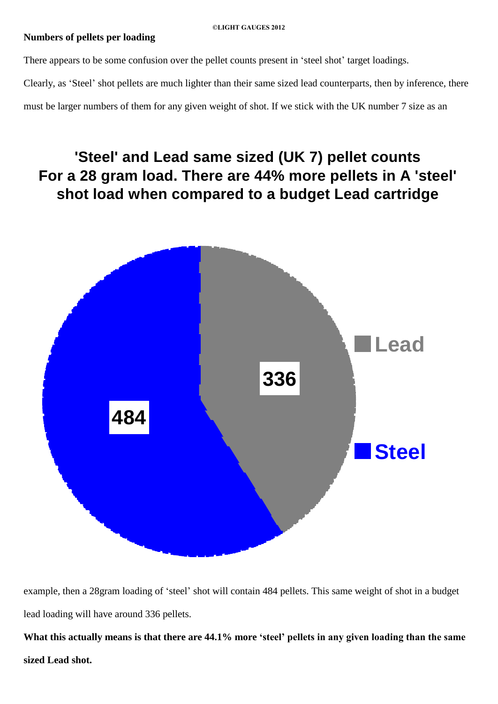## **Numbers of pellets per loading**

There appears to be some confusion over the pellet counts present in 'steel shot' target loadings.

Clearly, as 'Steel' shot pellets are much lighter than their same sized lead counterparts, then by inference, there

must be larger numbers of them for any given weight of shot. If we stick with the UK number 7 size as an

# **'Steel' and Lead same sized (UK 7) pellet counts For a 28 gram load. There are 44% more pellets in A 'steel' shot load when compared to a budget Lead cartridge**



example, then a 28gram loading of 'steel' shot will contain 484 pellets. This same weight of shot in a budget lead loading will have around 336 pellets.

What this actually means is that there are 44.1% more 'steel' pellets in any given loading than the same **sized Lead shot.**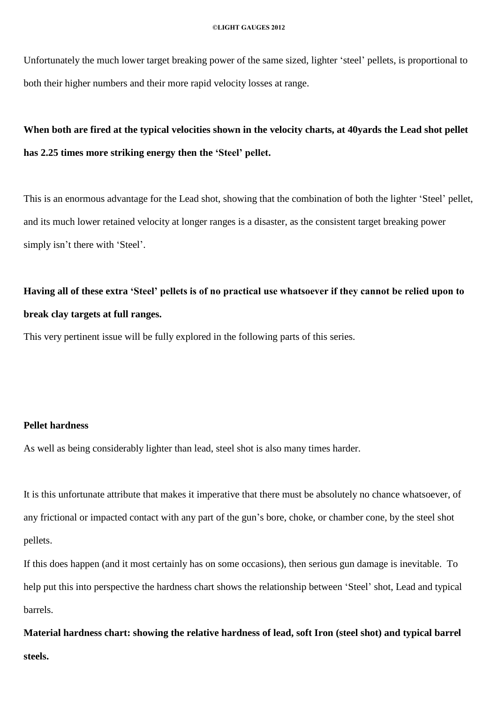Unfortunately the much lower target breaking power of the same sized, lighter 'steel' pellets, is proportional to both their higher numbers and their more rapid velocity losses at range.

## When both are fired at the typical velocities shown in the velocity charts, at 40yards the Lead shot pellet **has 2.25 times more striking energy then the ëSteelí pellet.**

This is an enormous advantage for the Lead shot, showing that the combination of both the lighter 'Steel' pellet, and its much lower retained velocity at longer ranges is a disaster, as the consistent target breaking power simply isn't there with 'Steel'.

## Having all of these extra 'Steel' pellets is of no practical use whatsoever if they cannot be relied upon to **break clay targets at full ranges.**

This very pertinent issue will be fully explored in the following parts of this series.

#### **Pellet hardness**

As well as being considerably lighter than lead, steel shot is also many times harder.

It is this unfortunate attribute that makes it imperative that there must be absolutely no chance whatsoever, of any frictional or impacted contact with any part of the gun's bore, choke, or chamber cone, by the steel shot pellets.

If this does happen (and it most certainly has on some occasions), then serious gun damage is inevitable. To help put this into perspective the hardness chart shows the relationship between 'Steel' shot, Lead and typical barrels.

**Material hardness chart: showing the relative hardness of lead, soft Iron (steel shot) and typical barrel steels.**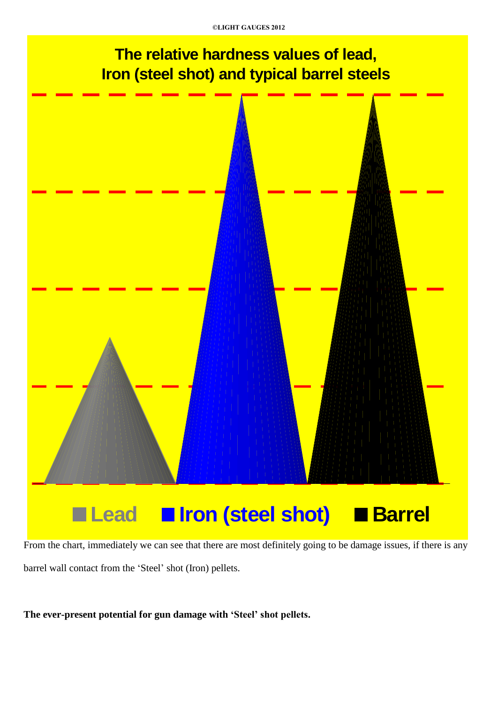# **The relative hardness values of lead, Iron (steel shot) and typical barrel steels**



From the chart, immediately we can see that there are most definitely going to be damage issues, if there is any barrel wall contact from the 'Steel' shot (Iron) pellets.

**The ever-present potential for gun damage with ëSteelí shot pellets.**